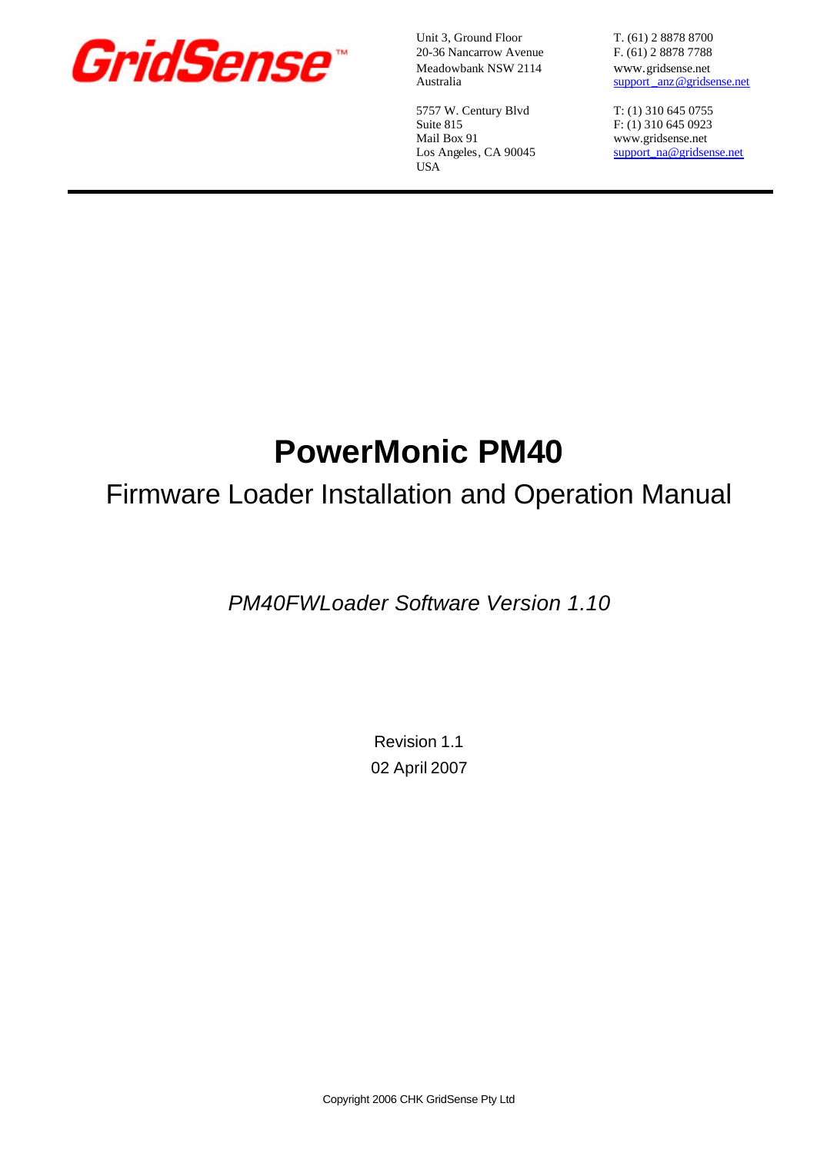

Unit 3, Ground Floor T. (61) 2 8878 8700 20-36 Nancarrow Avenue F. (61) 2 8878 7788 Meadowbank NSW 2114 www.gridsense.net<br>Australia support anz@gridsense.net

5757 W. Century Blvd T: (1) 310 645 0755 Suite 815 F: (1) 310 645 0923<br>Mail Box 91 www.gridsense.net USA

support anz@gridsense.net

www.gridsense.net Los Angeles, CA 90045 support\_na@gridsense.net

# **PowerMonic PM40**

## Firmware Loader Installation and Operation Manual

*PM40FWLoader Software Version 1.10*

Revision 1.1 02 April 2007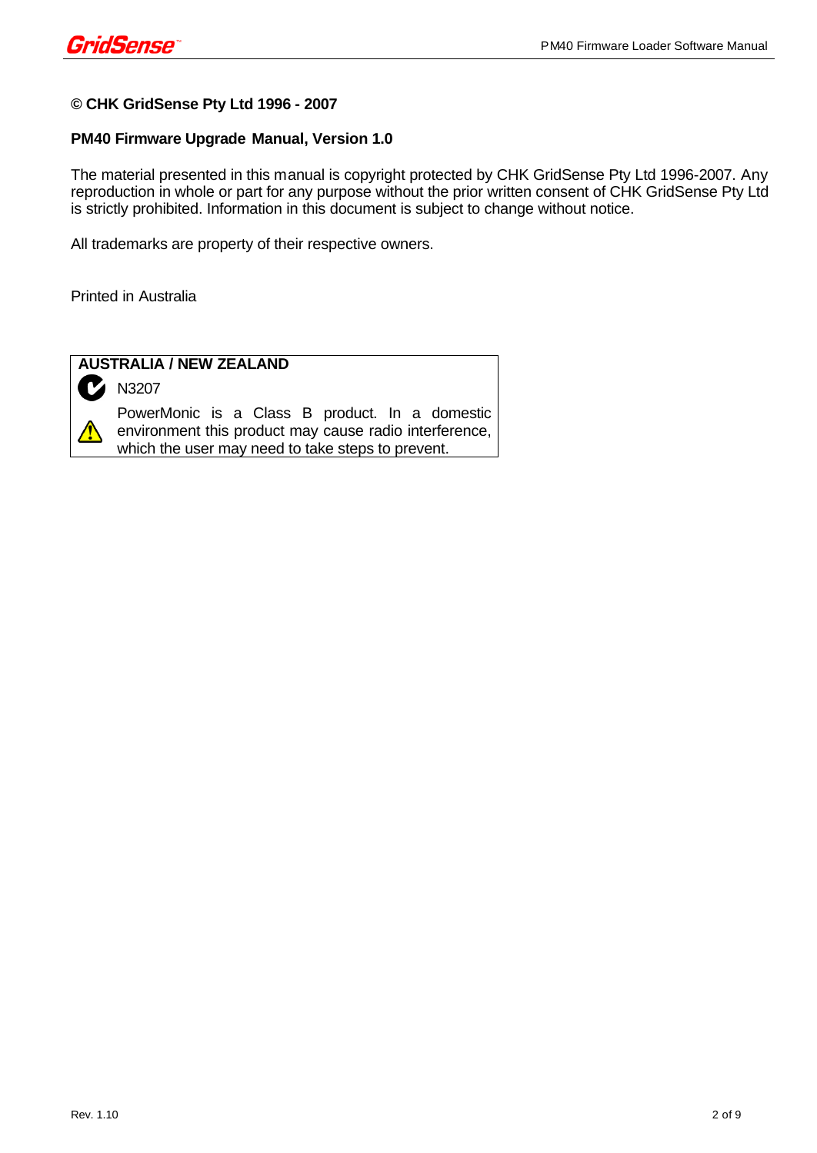#### **© CHK GridSense Pty Ltd 1996 - 2007**

#### **PM40 Firmware Upgrade Manual, Version 1.0**

The material presented in this manual is copyright protected by CHK GridSense Pty Ltd 1996-2007. Any reproduction in whole or part for any purpose without the prior written consent of CHK GridSense Pty Ltd is strictly prohibited. Information in this document is subject to change without notice.

All trademarks are property of their respective owners.

Printed in Australia



#### **AUSTRALIA / NEW ZEALAND**

N3207

PowerMonic is a Class B product. In a domestic environment this product may cause radio interference, which the user may need to take steps to prevent.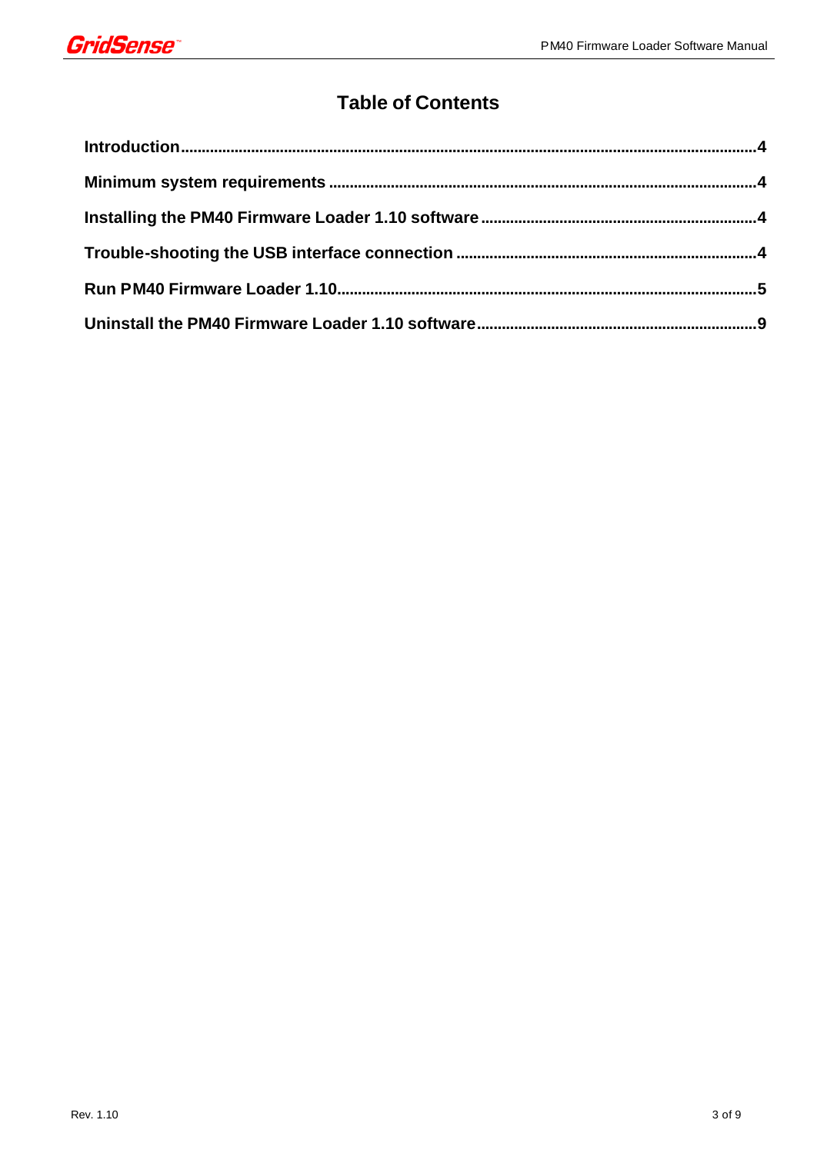

### **Table of Contents**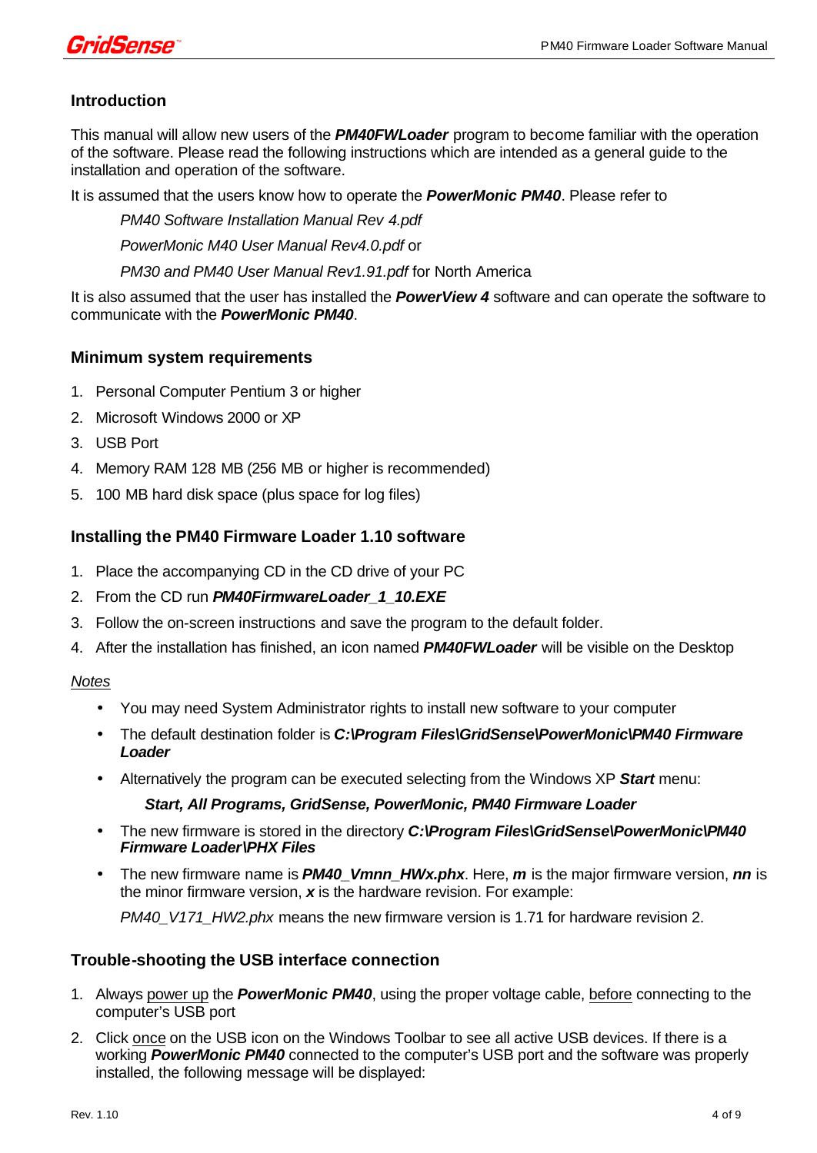

#### **Introduction**

This manual will allow new users of the *PM40FWLoader* program to become familiar with the operation of the software. Please read the following instructions which are intended as a general guide to the installation and operation of the software.

It is assumed that the users know how to operate the *PowerMonic PM40*. Please refer to

*PM40 Software Installation Manual Rev 4.pdf PowerMonic M40 User Manual Rev4.0.pdf* or *PM30 and PM40 User Manual Rev1.91.pdf* for North America

It is also assumed that the user has installed the *PowerView 4* software and can operate the software to communicate with the *PowerMonic PM40*.

#### **Minimum system requirements**

- 1. Personal Computer Pentium 3 or higher
- 2. Microsoft Windows 2000 or XP
- 3. USB Port
- 4. Memory RAM 128 MB (256 MB or higher is recommended)
- 5. 100 MB hard disk space (plus space for log files)

#### **Installing the PM40 Firmware Loader 1.10 software**

- 1. Place the accompanying CD in the CD drive of your PC
- 2. From the CD run *PM40FirmwareLoader\_1\_10.EXE*
- 3. Follow the on-screen instructions and save the program to the default folder.
- 4. After the installation has finished, an icon named *PM40FWLoader* will be visible on the Desktop

#### *Notes*

- You may need System Administrator rights to install new software to your computer
- The default destination folder is *C:\Program Files\GridSense\PowerMonic\PM40 Firmware Loader*
- Alternatively the program can be executed selecting from the Windows XP *Start* menu:

#### *Start, All Programs, GridSense, PowerMonic, PM40 Firmware Loader*

- The new firmware is stored in the directory *C:\Program Files\GridSense\PowerMonic\PM40 Firmware Loader\PHX Files*
- The new firmware name is *PM40\_Vmnn\_HWx.phx*. Here, *m* is the major firmware version, *nn* is the minor firmware version, *x* is the hardware revision. For example:

*PM40\_V171\_HW2.phx* means the new firmware version is 1.71 for hardware revision 2.

#### **Trouble-shooting the USB interface connection**

- 1. Always power up the *PowerMonic PM40*, using the proper voltage cable, before connecting to the computer's USB port
- 2. Click once on the USB icon on the Windows Toolbar to see all active USB devices. If there is a working *PowerMonic PM40* connected to the computer's USB port and the software was properly installed, the following message will be displayed: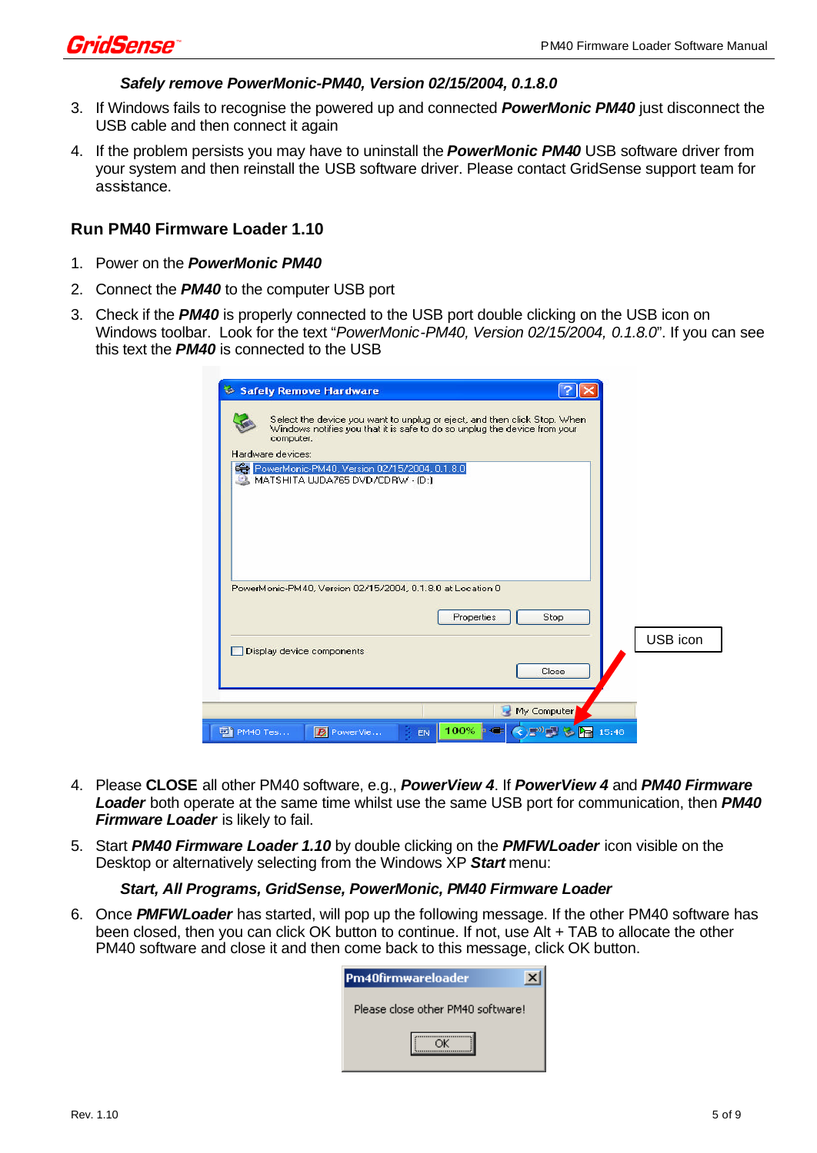

#### *Safely remove PowerMonic-PM40, Version 02/15/2004, 0.1.8.0*

- 3. If Windows fails to recognise the powered up and connected *PowerMonic PM40* just disconnect the USB cable and then connect it again
- 4. If the problem persists you may have to uninstall the *PowerMonic PM40* USB software driver from your system and then reinstall the USB software driver. Please contact GridSense support team for assistance.

#### **Run PM40 Firmware Loader 1.10**

- 1. Power on the *PowerMonic PM40*
- 2. Connect the *PM40* to the computer USB port
- 3. Check if the *PM40* is properly connected to the USB port double clicking on the USB icon on Windows toolbar. Look for the text "*PowerMonic-PM40, Version 02/15/2004, 0.1.8.0*". If you can see this text the *PM40* is connected to the USB

| Safely Remove Hardware                                                                                                                                             |          |
|--------------------------------------------------------------------------------------------------------------------------------------------------------------------|----------|
| Select the device you want to unplug or eject, and then click Stop. When<br>Windows notifies you that it is safe to do so unplug the device from your<br>computer. |          |
| Hardware devices:<br>PowerMonic-PM40, Version 02/15/2004, 0.1.8.0                                                                                                  |          |
| MATSHITA UJDA765 DVD/CDRW - (D:)                                                                                                                                   |          |
|                                                                                                                                                                    |          |
|                                                                                                                                                                    |          |
| PowerMonic-PM40, Version 02/15/2004, 0.1.8.0 at Location 0                                                                                                         |          |
| Properties<br>Stop.                                                                                                                                                |          |
| Display device components                                                                                                                                          | USB icon |
| Close                                                                                                                                                              |          |
| My Computer                                                                                                                                                        |          |
| 100% 工<br>◆■ 15:48<br>PM40 Tes<br>PowerVie<br><b>EN</b>                                                                                                            |          |

- 4. Please **CLOSE** all other PM40 software, e.g., *PowerView 4*. If *PowerView 4* and *PM40 Firmware Loader* both operate at the same time whilst use the same USB port for communication, then *PM40 Firmware Loader* is likely to fail.
- 5. Start *PM40 Firmware Loader 1.10* by double clicking on the *PMFWLoader* icon visible on the Desktop or alternatively selecting from the Windows XP *Start* menu:

#### *Start, All Programs, GridSense, PowerMonic, PM40 Firmware Loader*

6. Once *PMFWLoader* has started, will pop up the following message. If the other PM40 software has been closed, then you can click OK button to continue. If not, use Alt + TAB to allocate the other PM40 software and close it and then come back to this message, click OK button.

| Pm40firmwareloader                |  |
|-----------------------------------|--|
| Please close other PM40 software! |  |
|                                   |  |
|                                   |  |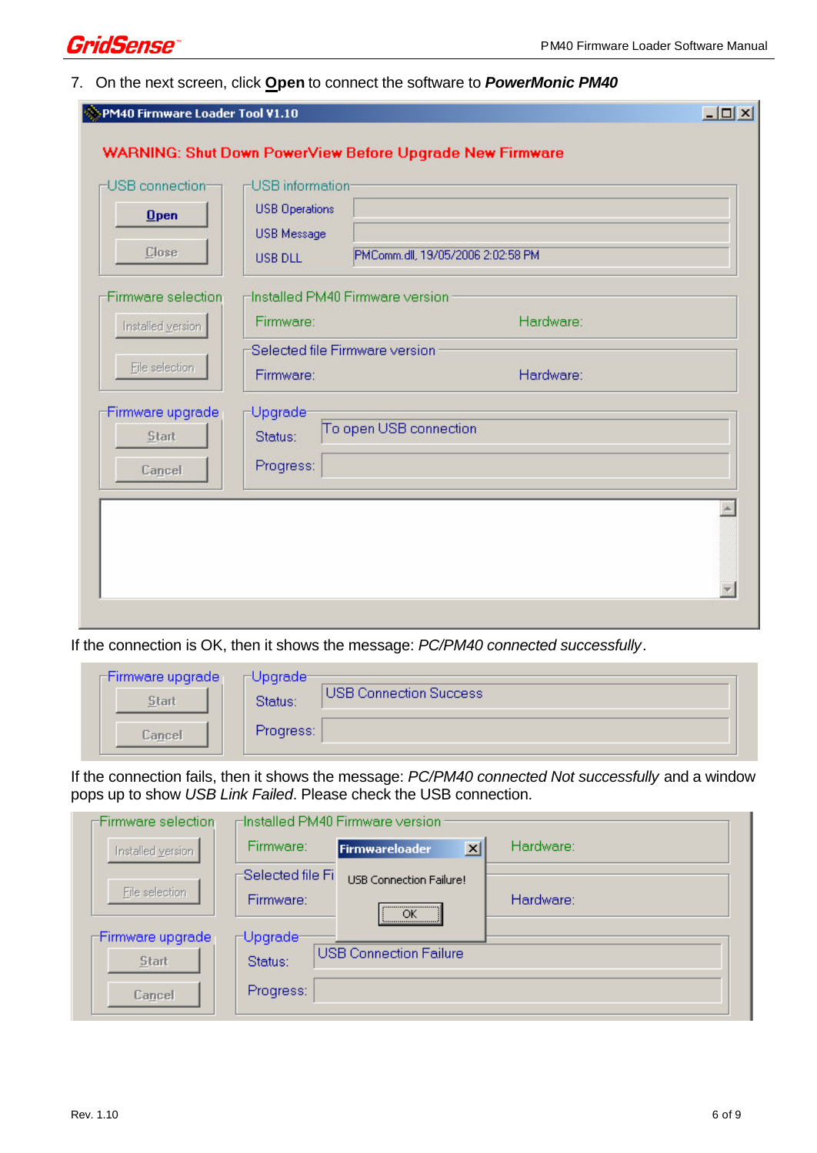

#### 7. On the next screen, click **Open** to connect the software to *PowerMonic PM40*

| USB connection-<br>$0$ pen | -USB information-<br><b>USB Operations</b>  |                                   |  |
|----------------------------|---------------------------------------------|-----------------------------------|--|
| Close                      | <b>USB Message</b><br>USB DLL               | PMComm.dll, 19/05/2006 2:02:58 PM |  |
| Firmware selection         | Hinstalled PM40 Firmware version            |                                   |  |
| Installed version          | Firmware:                                   | Hardware:                         |  |
| File selection             | Selected file Firmware version<br>Firmware: | Hardware:                         |  |
| Firmware upgrade<br>Start  | Upgrade-<br>Status:                         | To open USB connection            |  |
| Cancel                     | Progress:                                   |                                   |  |
|                            |                                             |                                   |  |
|                            |                                             |                                   |  |

If the connection is OK, then it shows the message: *PC/PM40 connected successfully*.

| -Firmware upgrade i<br>Start | <sub>∟</sub> ∩Lipqrade⊨<br>Status: | USB Connection Success |
|------------------------------|------------------------------------|------------------------|
| Cancel                       | Progress:                          |                        |

If the connection fails, then it shows the message: *PC/PM40 connected Not successfully* and a window pops up to show *USB Link Failed*. Please check the USB connection.

| Firmware selection |                   | $\sqcap$ Installed PM40 Firmware version : |           |
|--------------------|-------------------|--------------------------------------------|-----------|
| Installed version  | Firmware:         | $\vert x \vert$<br>Firmwareloader          | Hardware: |
|                    | Selected file Fil | <b>USB Connection Failure!</b>             |           |
| File selection     | Firmware:         | OK.                                        | Hardware: |
| Firmware upgrade   | $\sqcap$ Upgrade- |                                            |           |
| Start              | Status:           | <b>USB Connection Failure</b>              |           |
| Cancel             | Progress:         |                                            |           |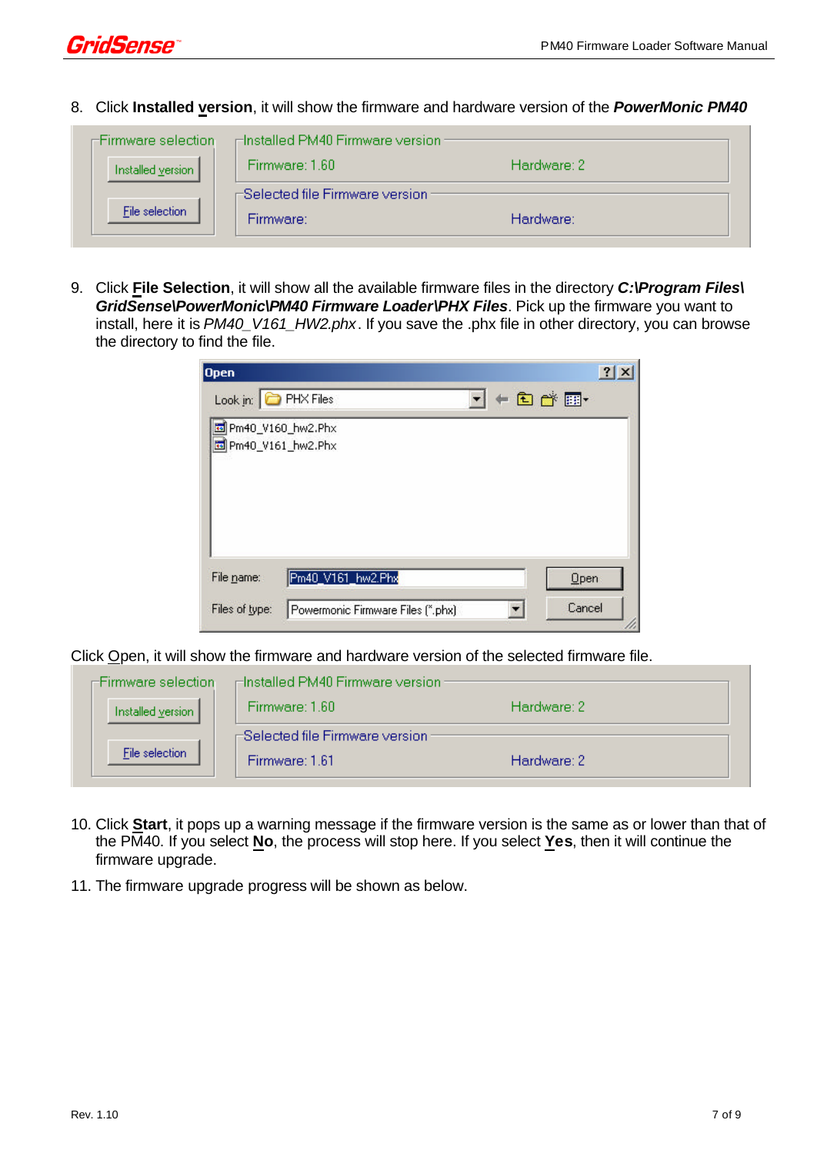

8. Click **Installed version**, it will show the firmware and hardware version of the *PowerMonic PM40*

| ∈Firmware selection: | ⊫Installed PM40 Firmware version :    |             |
|----------------------|---------------------------------------|-------------|
| Installed version    | Firmware: 1.60                        | Hardware: 2 |
|                      | $\pm$ Selected file Firmware version: |             |
| File selection       | Firmware:                             | Hardware:   |
|                      |                                       |             |

9. Click **File Selection**, it will show all the available firmware files in the directory *C:\Program Files\ GridSense\PowerMonic\PM40 Firmware Loader\PHX Files*. Pick up the firmware you want to install, here it is *PM40\_V161\_HW2.phx*. If you save the .phx file in other directory, you can browse the directory to find the file.

| <b>Open</b>                                  |                                   | ?             |
|----------------------------------------------|-----------------------------------|---------------|
| Look in: <b>C</b> PHX Files                  |                                   | $+$ a r $\pm$ |
| To Pm40_V160_hw2.Phx<br>To Pm40_V161_hw2.Phx |                                   |               |
| File name:                                   | Pm40_V161_hw2.Phx                 | Open          |
| Files of type:                               | Powermonic Firmware Files (*.phx) | Cancel        |

Click Open, it will show the firmware and hardware version of the selected firmware file.

| ≔Firmware selection: | ⊫Installed PM40 Firmware version : |             |
|----------------------|------------------------------------|-------------|
| Installed version    | Firmware: 1.60                     | Hardware: 2 |
|                      | -Selected file Firmware version:   |             |
| File selection       | Firmware: 1.61                     | Hardware: 2 |

- 10. Click **Start**, it pops up a warning message if the firmware version is the same as or lower than that of the PM40. If you select **No**, the process will stop here. If you select **Yes**, then it will continue the firmware upgrade.
- 11. The firmware upgrade progress will be shown as below.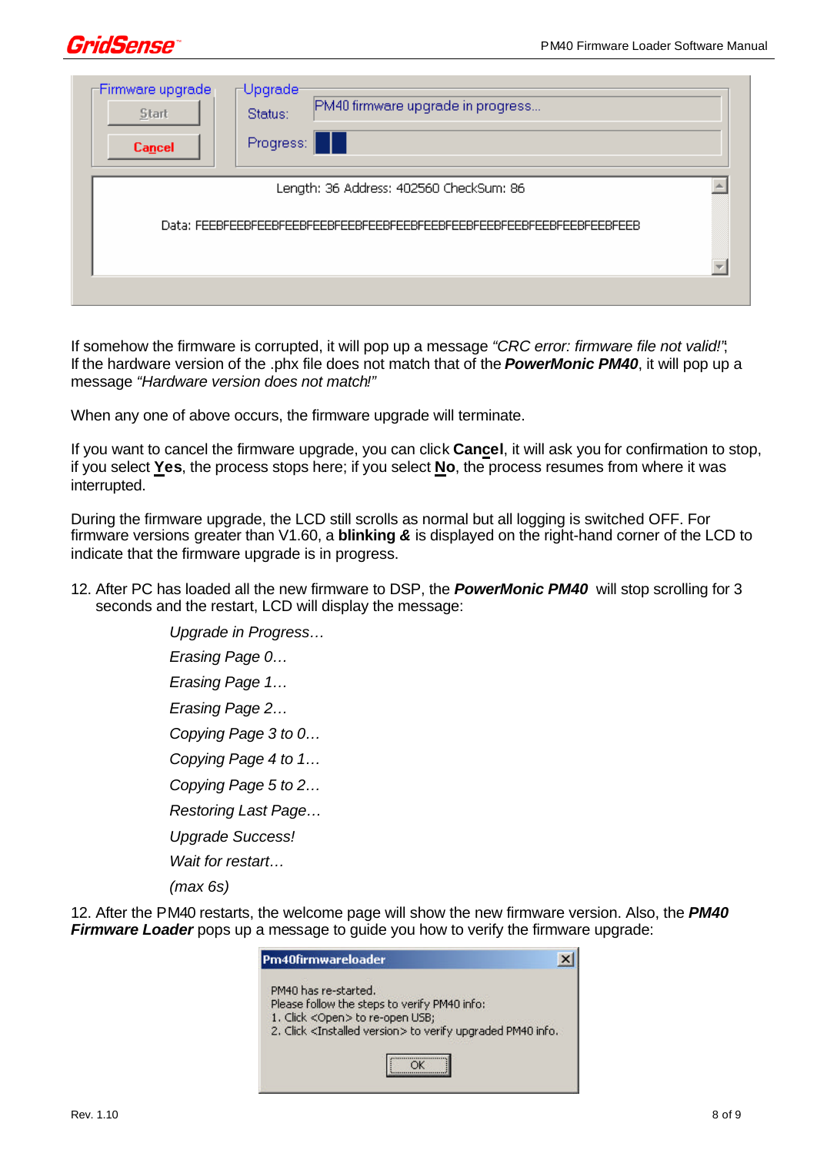

| -Firmware upgrade-<br>Start<br>Cancel | $\sqcap$ Upgrade-<br>PM40 firmware upgrade in progress<br>Status:<br>Progress:<br>- 11 |  |
|---------------------------------------|----------------------------------------------------------------------------------------|--|
|                                       | Length: 36 Address: 402560 CheckSum: 86                                                |  |
|                                       |                                                                                        |  |
|                                       |                                                                                        |  |

If somehow the firmware is corrupted, it will pop up a message *"CRC error: firmware file not valid!"*; If the hardware version of the .phx file does not match that of the *PowerMonic PM40*, it will pop up a message *"Hardware version does not match!"*

When any one of above occurs, the firmware upgrade will terminate.

If you want to cancel the firmware upgrade, you can click **Cancel**, it will ask you for confirmation to stop, if you select **Yes**, the process stops here; if you select **No**, the process resumes from where it was interrupted.

During the firmware upgrade, the LCD still scrolls as normal but all logging is switched OFF. For firmware versions greater than V1.60, a **blinking** *&* is displayed on the right-hand corner of the LCD to indicate that the firmware upgrade is in progress.

12. After PC has loaded all the new firmware to DSP, the *PowerMonic PM40* will stop scrolling for 3 seconds and the restart, LCD will display the message:

> *Upgrade in Progress… Erasing Page 0… Erasing Page 1… Erasing Page 2… Copying Page 3 to 0… Copying Page 4 to 1… Copying Page 5 to 2… Restoring Last Page… Upgrade Success! Wait for restart…*

*(max 6s)*

12. After the PM40 restarts, the welcome page will show the new firmware version. Also, the *PM40 Firmware Loader* pops up a message to guide you how to verify the firmware upgrade:

| Pm40firmwareloader                                                                                                                                                                           |  |
|----------------------------------------------------------------------------------------------------------------------------------------------------------------------------------------------|--|
| PM40 has re-started.<br>Please follow the steps to verify PM40 info:<br>1. Click <open> to re-open USB;<br/>2. Click <installed version=""> to verify upgraded PM40 info.</installed></open> |  |
|                                                                                                                                                                                              |  |